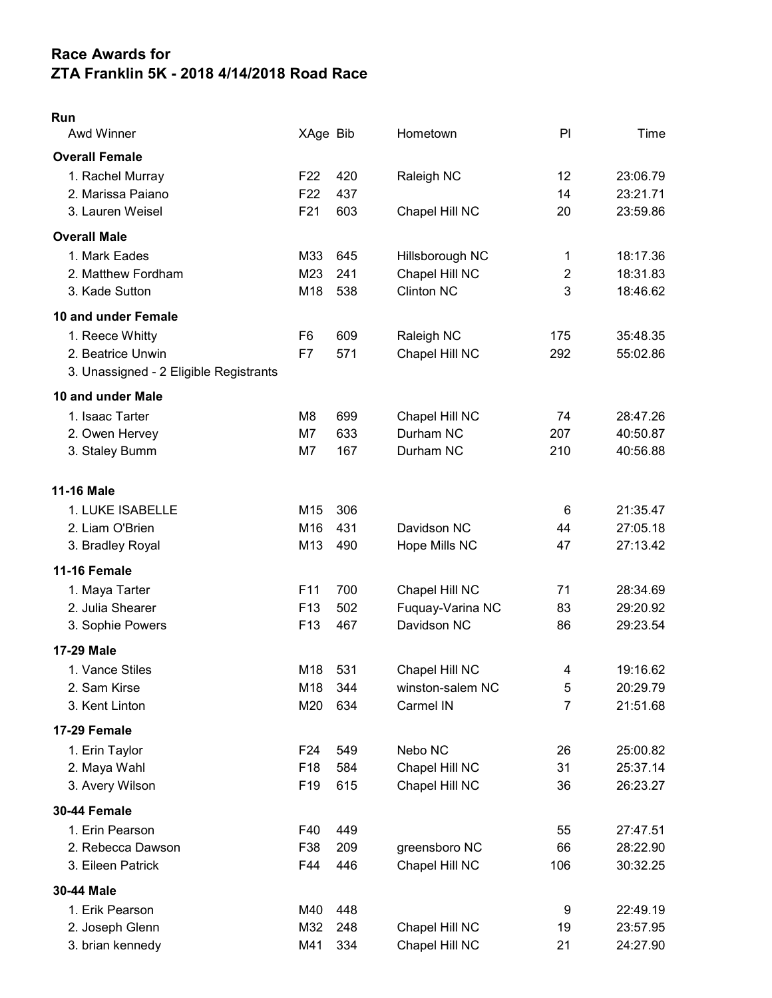## Race Awards for ZTA Franklin 5K - 2018 4/14/2018 Road Race

| × |  |
|---|--|

| Awd Winner                             | XAge Bib        |     | Hometown          | PI                      | Time     |
|----------------------------------------|-----------------|-----|-------------------|-------------------------|----------|
| <b>Overall Female</b>                  |                 |     |                   |                         |          |
| 1. Rachel Murray                       | F <sub>22</sub> | 420 | Raleigh NC        | 12                      | 23:06.79 |
| 2. Marissa Paiano                      | F <sub>22</sub> | 437 |                   | 14                      | 23:21.71 |
| 3. Lauren Weisel                       | F21             | 603 | Chapel Hill NC    | 20                      | 23:59.86 |
| <b>Overall Male</b>                    |                 |     |                   |                         |          |
| 1. Mark Eades                          | M33             | 645 | Hillsborough NC   | 1                       | 18:17.36 |
| 2. Matthew Fordham                     | M23             | 241 | Chapel Hill NC    | $\overline{2}$          | 18:31.83 |
| 3. Kade Sutton                         | M18             | 538 | <b>Clinton NC</b> | 3                       | 18:46.62 |
| 10 and under Female                    |                 |     |                   |                         |          |
| 1. Reece Whitty                        | F <sub>6</sub>  | 609 | Raleigh NC        | 175                     | 35:48.35 |
| 2. Beatrice Unwin                      | F7              | 571 | Chapel Hill NC    | 292                     | 55:02.86 |
| 3. Unassigned - 2 Eligible Registrants |                 |     |                   |                         |          |
| 10 and under Male                      |                 |     |                   |                         |          |
| 1. Isaac Tarter                        | M <sub>8</sub>  | 699 | Chapel Hill NC    | 74                      | 28:47.26 |
| 2. Owen Hervey                         | M7              | 633 | Durham NC         | 207                     | 40:50.87 |
| 3. Staley Bumm                         | M7              | 167 | Durham NC         | 210                     | 40:56.88 |
|                                        |                 |     |                   |                         |          |
| <b>11-16 Male</b>                      |                 |     |                   |                         |          |
| 1. LUKE ISABELLE                       | M15             | 306 |                   | 6                       | 21:35.47 |
| 2. Liam O'Brien                        | M16             | 431 | Davidson NC       | 44                      | 27:05.18 |
| 3. Bradley Royal                       | M13             | 490 | Hope Mills NC     | 47                      | 27:13.42 |
| <b>11-16 Female</b>                    |                 |     |                   |                         |          |
| 1. Maya Tarter                         | F11             | 700 | Chapel Hill NC    | 71                      | 28:34.69 |
| 2. Julia Shearer                       | F <sub>13</sub> | 502 | Fuquay-Varina NC  | 83                      | 29:20.92 |
| 3. Sophie Powers                       | F <sub>13</sub> | 467 | Davidson NC       | 86                      | 29:23.54 |
| <b>17-29 Male</b>                      |                 |     |                   |                         |          |
| 1. Vance Stiles                        | M18             | 531 | Chapel Hill NC    | $\overline{\mathbf{4}}$ | 19:16.62 |
| 2. Sam Kirse                           | M18             | 344 | winston-salem NC  | 5                       | 20:29.79 |
| 3. Kent Linton                         | M20             | 634 | Carmel IN         | 7                       | 21:51.68 |
| 17-29 Female                           |                 |     |                   |                         |          |
| 1. Erin Taylor                         | F <sub>24</sub> | 549 | Nebo NC           | 26                      | 25:00.82 |
| 2. Maya Wahl                           | F <sub>18</sub> | 584 | Chapel Hill NC    | 31                      | 25:37.14 |
| 3. Avery Wilson                        | F <sub>19</sub> | 615 | Chapel Hill NC    | 36                      | 26:23.27 |
| 30-44 Female                           |                 |     |                   |                         |          |
| 1. Erin Pearson                        | F40             | 449 |                   | 55                      | 27:47.51 |
| 2. Rebecca Dawson                      | F38             | 209 | greensboro NC     | 66                      | 28:22.90 |
| 3. Eileen Patrick                      | F44             | 446 | Chapel Hill NC    | 106                     | 30:32.25 |
| 30-44 Male                             |                 |     |                   |                         |          |
| 1. Erik Pearson                        | M40             | 448 |                   | 9                       | 22:49.19 |
| 2. Joseph Glenn                        | M32             | 248 | Chapel Hill NC    | 19                      | 23:57.95 |
| 3. brian kennedy                       | M41             | 334 | Chapel Hill NC    | 21                      | 24:27.90 |